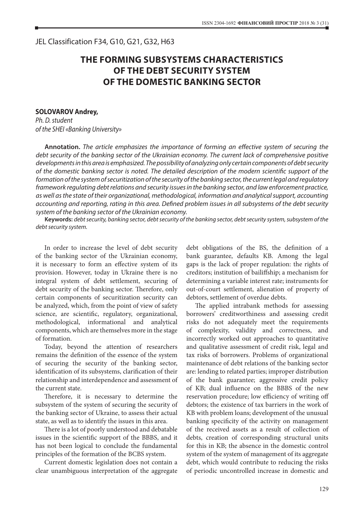## **THE FORMING SUBSYSTEMS CHARACTERISTICS OF THE DEBT SECURITY SYSTEM OF THE DOMESTIC BANKING SECTOR**

## **SOLOVAROV Andrey,**

*Ph. D. student of the SHEI «Banking University»*

**Annotation.** *The article emphasizes the importance of forming an effective system of securing the debt security of the banking sector of the Ukrainian economy. The current lack of comprehensive positive developments in this area is emphasized. The possibility of analyzing only certain components of debt security of the domestic banking sector is noted. The detailed description of the modern scientific support of the formation of the system of securitization of the security of the banking sector, the current legal and regulatory framework regulating debt relations and security issues in the banking sector, and law enforcement practice, as well as the state of their organizational, methodological, information and analytical support, accounting accounting and reporting, rating in this area. Defined problem issues in all subsystems of the debt security system of the banking sector of the Ukrainian economy.*

**Keywords:** *debt security, banking sector, debt security of the banking sector, debt security system, subsystem of the debt security system.*

In order to increase the level of debt security of the banking sector of the Ukrainian economy, it is necessary to form an effective system of its provision. However, today in Ukraine there is no integral system of debt settlement, securing of debt security of the banking sector. Therefore, only certain components of securitization security can be analyzed, which, from the point of view of safety science, are scientific, regulatory, organizational, methodological, informational and analytical components, which are themselves more in the stage of formation.

Today, beyond the attention of researchers remains the definition of the essence of the system of securing the security of the banking sector, identification of its subsystems, clarification of their relationship and interdependence and assessment of the current state.

Therefore, it is necessary to determine the subsystem of the system of securing the security of the banking sector of Ukraine, to assess their actual state, as well as to identify the issues in this area.

There is a lot of poorly understood and debatable issues in the scientific support of the BBBS, and it has not been logical to conclude the fundamental principles of the formation of the BCBS system.

Current domestic legislation does not contain a clear unambiguous interpretation of the aggregate

debt obligations of the BS, the definition of a bank guarantee, defaults KB. Among the legal gaps is the lack of proper regulation: the rights of creditors; institution of bailiffship; a mechanism for determining a variable interest rate; instruments for out-of-court settlement, alienation of property of debtors, settlement of overdue debts.

The applied intrabank methods for assessing borrowers' creditworthiness and assessing credit risks do not adequately meet the requirements of complexity, validity and correctness, and incorrectly worked out approaches to quantitative and qualitative assessment of credit risk, legal and tax risks of borrowers. Problems of organizational maintenance of debt relations of the banking sector are: lending to related parties; improper distribution of the bank guarantee; aggressive credit policy of KB; dual influence on the BBBS of the new reservation procedure; low efficiency of writing off debtors; the existence of tax barriers in the work of KB with problem loans; development of the unusual banking specificity of the activity on management of the received assets as a result of collection of debts, creation of corresponding structural units for this in KB; the absence in the domestic control system of the system of management of its aggregate debt, which would contribute to reducing the risks of periodic uncontrolled increase in domestic and